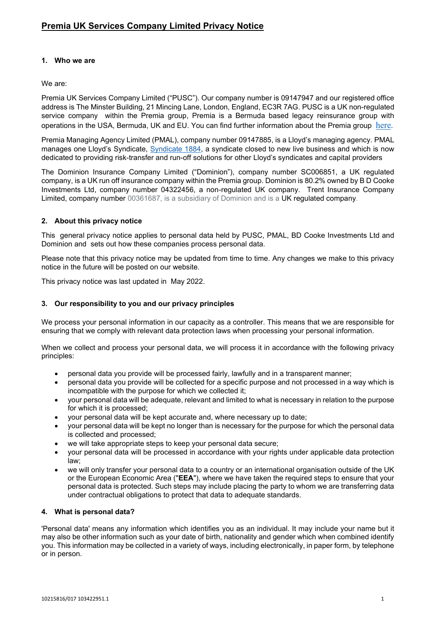## **1. Who we are**

## We are:

Premia UK Services Company Limited ("PUSC"). Our company number is 09147947 and our registered office address is The Minster Building, 21 Mincing Lane, London, England, EC3R 7AG. PUSC is a UK non-regulated service company within the Premia group, Premia is a Bermuda based legacy reinsurance group with operations in the USA, Bermuda, UK and EU. You can find further information about the Premia group [here](https://premiaholdings.com/).

Premia Managing Agency Limited (PMAL), company number 09147885, is a Lloyd's managing agency. PMAL manages one Lloyd's Syndicate, [Syndicate 1884,](https://premiaholdings.com/premia-syndicate-1884/) a syndicate closed to new live business and which is now dedicated to providing risk-transfer and run-off solutions for other Lloyd's syndicates and capital providers

The Dominion Insurance Company Limited ("Dominion"), company number SC006851, a UK regulated company, is a UK run off insurance company within the Premia group. Dominion is 80.2% owned by B D Cooke Investments Ltd, company number 04322456, a non-regulated UK company. Trent Insurance Company Limited, company number 00361687, is a subsidiary of Dominion and is a UK regulated company.

## **2. About this privacy notice**

This general privacy notice applies to personal data held by PUSC, PMAL, BD Cooke Investments Ltd and Dominion and sets out how these companies process personal data.

Please note that this privacy notice may be updated from time to time. Any changes we make to this privacy notice in the future will be posted on our website.

This privacy notice was last updated in May 2022.

## **3. Our responsibility to you and our privacy principles**

We process your personal information in our capacity as a controller. This means that we are responsible for ensuring that we comply with relevant data protection laws when processing your personal information.

When we collect and process your personal data, we will process it in accordance with the following privacy principles:

- personal data you provide will be processed fairly, lawfully and in a transparent manner;
- personal data you provide will be collected for a specific purpose and not processed in a way which is incompatible with the purpose for which we collected it;
- your personal data will be adequate, relevant and limited to what is necessary in relation to the purpose for which it is processed;
- your personal data will be kept accurate and, where necessary up to date;
- your personal data will be kept no longer than is necessary for the purpose for which the personal data is collected and processed;
- we will take appropriate steps to keep your personal data secure;
- your personal data will be processed in accordance with your rights under applicable data protection law;
- we will only transfer your personal data to a country or an international organisation outside of the UK or the European Economic Area ("**EEA**"), where we have taken the required steps to ensure that your personal data is protected. Such steps may include placing the party to whom we are transferring data under contractual obligations to protect that data to adequate standards.

### **4. What is personal data?**

'Personal data' means any information which identifies you as an individual. It may include your name but it may also be other information such as your date of birth, nationality and gender which when combined identify you. This information may be collected in a variety of ways, including electronically, in paper form, by telephone or in person.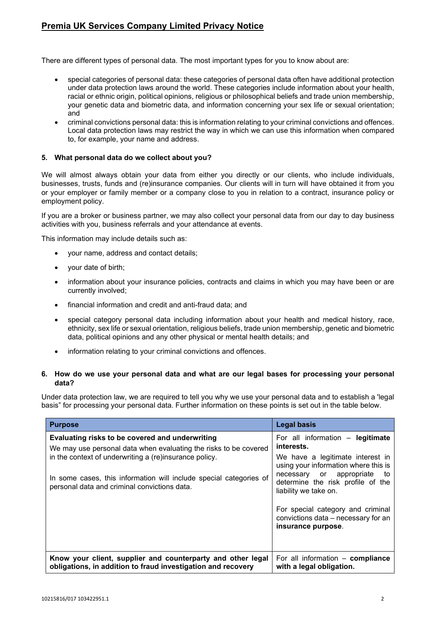There are different types of personal data. The most important types for you to know about are:

- special categories of personal data: these categories of personal data often have additional protection under data protection laws around the world. These categories include information about your health, racial or ethnic origin, political opinions, religious or philosophical beliefs and trade union membership, your genetic data and biometric data, and information concerning your sex life or sexual orientation; and
- criminal convictions personal data: this is information relating to your criminal convictions and offences. Local data protection laws may restrict the way in which we can use this information when compared to, for example, your name and address.

#### **5. What personal data do we collect about you?**

We will almost always obtain your data from either you directly or our clients, who include individuals, businesses, trusts, funds and (re)insurance companies. Our clients will in turn will have obtained it from you or your employer or family member or a company close to you in relation to a contract, insurance policy or employment policy.

If you are a broker or business partner, we may also collect your personal data from our day to day business activities with you, business referrals and your attendance at events.

This information may include details such as:

- your name, address and contact details;
- your date of birth;
- information about your insurance policies, contracts and claims in which you may have been or are currently involved;
- financial information and credit and anti-fraud data; and
- special category personal data including information about your health and medical history, race, ethnicity, sex life or sexual orientation, religious beliefs, trade union membership, genetic and biometric data, political opinions and any other physical or mental health details; and
- information relating to your criminal convictions and offences.

#### **6. How do we use your personal data and what are our legal bases for processing your personal data?**

Under data protection law, we are required to tell you why we use your personal data and to establish a 'legal basis" for processing your personal data. Further information on these points is set out in the table below.

| <b>Purpose</b>                                                                                                                                                               | <b>Legal basis</b>                                                                                                                                                       |
|------------------------------------------------------------------------------------------------------------------------------------------------------------------------------|--------------------------------------------------------------------------------------------------------------------------------------------------------------------------|
| Evaluating risks to be covered and underwriting<br>We may use personal data when evaluating the risks to be covered                                                          | For all information - legitimate<br>interests.                                                                                                                           |
| in the context of underwriting a (re)insurance policy.<br>In some cases, this information will include special categories of<br>personal data and criminal convictions data. | We have a legitimate interest in<br>using your information where this is<br>necessary or appropriate<br>to<br>determine the risk profile of the<br>liability we take on. |
|                                                                                                                                                                              | For special category and criminal<br>convictions data - necessary for an<br>insurance purpose.                                                                           |
| Know your client, supplier and counterparty and other legal<br>obligations, in addition to fraud investigation and recovery                                                  | For all information - compliance<br>with a legal obligation.                                                                                                             |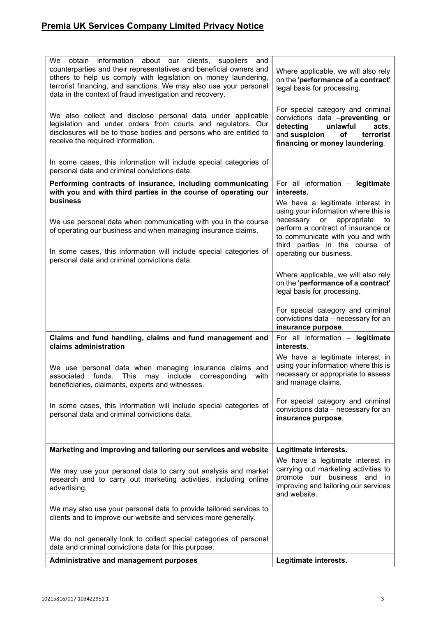| We obtain information about our clients, suppliers and<br>counterparties and their representatives and beneficial owners and<br>others to help us comply with legislation on money laundering,<br>terrorist financing, and sanctions. We may also use your personal<br>data in the context of fraud investigation and recovery. | Where applicable, we will also rely<br>on the 'performance of a contract'<br>legal basis for processing.                                                                                                               |
|---------------------------------------------------------------------------------------------------------------------------------------------------------------------------------------------------------------------------------------------------------------------------------------------------------------------------------|------------------------------------------------------------------------------------------------------------------------------------------------------------------------------------------------------------------------|
| We also collect and disclose personal data under applicable<br>legislation and under orders from courts and regulators. Our<br>disclosures will be to those bodies and persons who are entitled to<br>receive the required information.                                                                                         | For special category and criminal<br>convictions data -preventing or<br>detecting<br>unlawful<br>acts,<br>and suspicion<br>terrorist<br>оf<br>financing or money laundering.                                           |
| In some cases, this information will include special categories of<br>personal data and criminal convictions data.                                                                                                                                                                                                              |                                                                                                                                                                                                                        |
| Performing contracts of insurance, including communicating<br>with you and with third parties in the course of operating our<br><b>business</b>                                                                                                                                                                                 | For all information - legitimate<br>interests.                                                                                                                                                                         |
| We use personal data when communicating with you in the course<br>of operating our business and when managing insurance claims.                                                                                                                                                                                                 | We have a legitimate interest in<br>using your information where this is<br>necessary or appropriate<br>to<br>perform a contract of insurance or<br>to communicate with you and with<br>third parties in the course of |
| In some cases, this information will include special categories of<br>personal data and criminal convictions data.                                                                                                                                                                                                              | operating our business.                                                                                                                                                                                                |
|                                                                                                                                                                                                                                                                                                                                 | Where applicable, we will also rely<br>on the 'performance of a contract'<br>legal basis for processing.                                                                                                               |
|                                                                                                                                                                                                                                                                                                                                 | For special category and criminal<br>convictions data - necessary for an<br>insurance purpose.                                                                                                                         |
| Claims and fund handling, claims and fund management and<br>claims administration                                                                                                                                                                                                                                               | For all information - legitimate<br>interests.                                                                                                                                                                         |
| We use personal data when managing insurance claims and<br>associated funds. This may<br>include corresponding<br>with<br>beneficiaries, claimants, experts and witnesses.                                                                                                                                                      | We have a legitimate interest in<br>using your information where this is<br>necessary or appropriate to assess<br>and manage claims.                                                                                   |
| In some cases, this information will include special categories of<br>personal data and criminal convictions data.                                                                                                                                                                                                              | For special category and criminal<br>convictions data - necessary for an<br>insurance purpose.                                                                                                                         |
| Marketing and improving and tailoring our services and website                                                                                                                                                                                                                                                                  | Legitimate interests.                                                                                                                                                                                                  |
| We may use your personal data to carry out analysis and market<br>research and to carry out marketing activities, including online<br>advertising.                                                                                                                                                                              | We have a legitimate interest in<br>carrying out marketing activities to<br>promote our business and in<br>improving and tailoring our services<br>and website.                                                        |
| We may also use your personal data to provide tailored services to<br>clients and to improve our website and services more generally.                                                                                                                                                                                           |                                                                                                                                                                                                                        |
| We do not generally look to collect special categories of personal<br>data and criminal convictions data for this purpose.                                                                                                                                                                                                      |                                                                                                                                                                                                                        |
| <b>Administrative and management purposes</b>                                                                                                                                                                                                                                                                                   | Legitimate interests.                                                                                                                                                                                                  |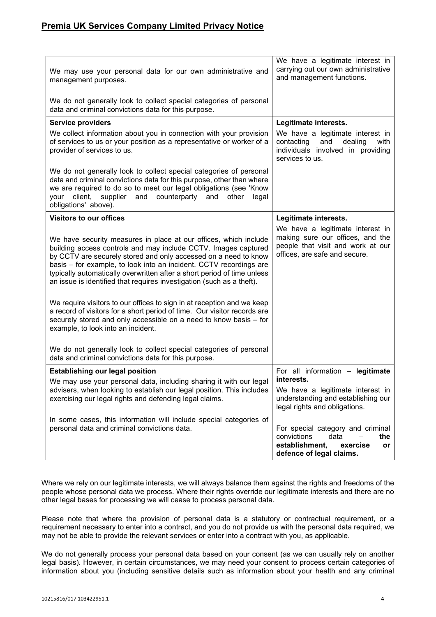| We may use your personal data for our own administrative and<br>management purposes.                                                                                                                                                                                                                                                                                                                                                                                                                                                                                                                                                                       | We have a legitimate interest in<br>carrying out our own administrative<br>and management functions.                                       |
|------------------------------------------------------------------------------------------------------------------------------------------------------------------------------------------------------------------------------------------------------------------------------------------------------------------------------------------------------------------------------------------------------------------------------------------------------------------------------------------------------------------------------------------------------------------------------------------------------------------------------------------------------------|--------------------------------------------------------------------------------------------------------------------------------------------|
| We do not generally look to collect special categories of personal<br>data and criminal convictions data for this purpose.                                                                                                                                                                                                                                                                                                                                                                                                                                                                                                                                 |                                                                                                                                            |
| <b>Service providers</b>                                                                                                                                                                                                                                                                                                                                                                                                                                                                                                                                                                                                                                   | Legitimate interests.                                                                                                                      |
| We collect information about you in connection with your provision<br>of services to us or your position as a representative or worker of a<br>provider of services to us.                                                                                                                                                                                                                                                                                                                                                                                                                                                                                 | We have a legitimate interest in<br>contacting<br>and<br>dealing<br>with<br>individuals involved in providing<br>services to us.           |
| We do not generally look to collect special categories of personal<br>data and criminal convictions data for this purpose, other than where<br>we are required to do so to meet our legal obligations (see 'Know<br>client,<br>supplier and<br>counterparty<br>your<br>and<br>other<br>legal<br>obligations' above).                                                                                                                                                                                                                                                                                                                                       |                                                                                                                                            |
| <b>Visitors to our offices</b>                                                                                                                                                                                                                                                                                                                                                                                                                                                                                                                                                                                                                             | Legitimate interests.                                                                                                                      |
| We have security measures in place at our offices, which include<br>building access controls and may include CCTV. Images captured<br>by CCTV are securely stored and only accessed on a need to know<br>basis - for example, to look into an incident. CCTV recordings are<br>typically automatically overwritten after a short period of time unless<br>an issue is identified that requires investigation (such as a theft).<br>We require visitors to our offices to sign in at reception and we keep<br>a record of visitors for a short period of time. Our visitor records are<br>securely stored and only accessible on a need to know basis - for | We have a legitimate interest in<br>making sure our offices, and the<br>people that visit and work at our<br>offices, are safe and secure. |
| example, to look into an incident.                                                                                                                                                                                                                                                                                                                                                                                                                                                                                                                                                                                                                         |                                                                                                                                            |
| We do not generally look to collect special categories of personal<br>data and criminal convictions data for this purpose.                                                                                                                                                                                                                                                                                                                                                                                                                                                                                                                                 |                                                                                                                                            |
| <b>Establishing our legal position</b>                                                                                                                                                                                                                                                                                                                                                                                                                                                                                                                                                                                                                     | For all information - legitimate                                                                                                           |
| We may use your personal data, including sharing it with our legal                                                                                                                                                                                                                                                                                                                                                                                                                                                                                                                                                                                         | interests.                                                                                                                                 |
| advisers, when looking to establish our legal position. This includes<br>exercising our legal rights and defending legal claims.                                                                                                                                                                                                                                                                                                                                                                                                                                                                                                                           | We have a legitimate interest in<br>understanding and establishing our<br>legal rights and obligations.                                    |
| In some cases, this information will include special categories of<br>personal data and criminal convictions data.                                                                                                                                                                                                                                                                                                                                                                                                                                                                                                                                         | For special category and criminal<br>convictions<br>data<br>the<br>establishment,<br>exercise<br>or<br>defence of legal claims.            |

Where we rely on our legitimate interests, we will always balance them against the rights and freedoms of the people whose personal data we process. Where their rights override our legitimate interests and there are no other legal bases for processing we will cease to process personal data.

Please note that where the provision of personal data is a statutory or contractual requirement, or a requirement necessary to enter into a contract, and you do not provide us with the personal data required, we may not be able to provide the relevant services or enter into a contract with you, as applicable.

We do not generally process your personal data based on your consent (as we can usually rely on another legal basis). However, in certain circumstances, we may need your consent to process certain categories of information about you (including sensitive details such as information about your health and any criminal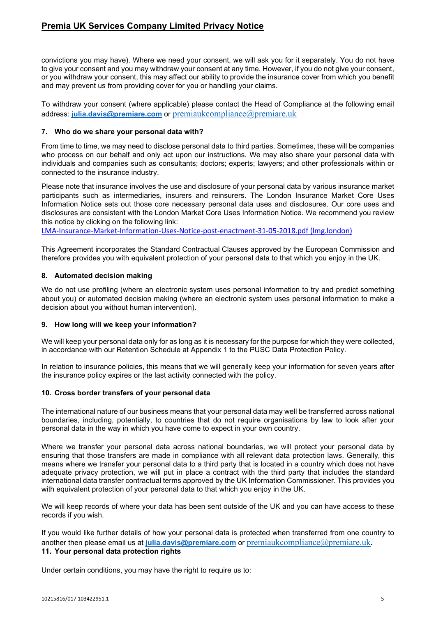convictions you may have). Where we need your consent, we will ask you for it separately. You do not have to give your consent and you may withdraw your consent at any time. However, if you do not give your consent, or you withdraw your consent, this may affect our ability to provide the insurance cover from which you benefit and may prevent us from providing cover for you or handling your claims.

To withdraw your consent (where applicable) please contact the Head of Compliance at the following email address: **[julia.davis@premiare.com](mailto:julia.davis@premiare.com)** or [premiaukcompliance@premiare.uk](mailto:premiaukcompliance@premiare.uk)

### **7. Who do we share your personal data with?**

From time to time, we may need to disclose personal data to third parties. Sometimes, these will be companies who process on our behalf and only act upon our instructions. We may also share your personal data with individuals and companies such as consultants; doctors; experts; lawyers; and other professionals within or connected to the insurance industry.

Please note that insurance involves the use and disclosure of your personal data by various insurance market participants such as intermediaries, insurers and reinsurers. The London Insurance Market Core Uses Information Notice sets out those core necessary personal data uses and disclosures. Our core uses and disclosures are consistent with the London Market Core Uses Information Notice. We recommend you review this notice by clicking on the following link:

[LMA-Insurance-Market-Information-Uses-Notice-post-enactment-31-05-2018.pdf \(lmg.london\)](https://lmg.london/wp-content/uploads/2019/07/LMA-Insurance-Market-Information-Uses-Notice-post-enactment-31-05-2018.pdf)

This Agreement incorporates the Standard Contractual Clauses approved by the European Commission and therefore provides you with equivalent protection of your personal data to that which you enjoy in the UK.

## **8. Automated decision making**

We do not use profiling (where an electronic system uses personal information to try and predict something about you) or automated decision making (where an electronic system uses personal information to make a decision about you without human intervention).

### **9. How long will we keep your information?**

We will keep your personal data only for as long as it is necessary for the purpose for which they were collected, in accordance with our Retention Schedule at Appendix 1 to the PUSC Data Protection Policy.

In relation to insurance policies, this means that we will generally keep your information for seven years after the insurance policy expires or the last activity connected with the policy.

### **10. Cross border transfers of your personal data**

The international nature of our business means that your personal data may well be transferred across national boundaries, including, potentially, to countries that do not require organisations by law to look after your personal data in the way in which you have come to expect in your own country.

Where we transfer your personal data across national boundaries, we will protect your personal data by ensuring that those transfers are made in compliance with all relevant data protection laws. Generally, this means where we transfer your personal data to a third party that is located in a country which does not have adequate privacy protection, we will put in place a contract with the third party that includes the standard international data transfer contractual terms approved by the UK Information Commissioner. This provides you with equivalent protection of your personal data to that which you enjoy in the UK.

We will keep records of where your data has been sent outside of the UK and you can have access to these records if you wish.

If you would like further details of how your personal data is protected when transferred from one country to another then please email us at *[julia.davis@premiare.com](mailto:julia.davis@premiare.com)* or [premiaukcompliance@premiare.uk](mailto:premiaukcompliance@premiare.uk). **11. Your personal data protection rights**

Under certain conditions, you may have the right to require us to: